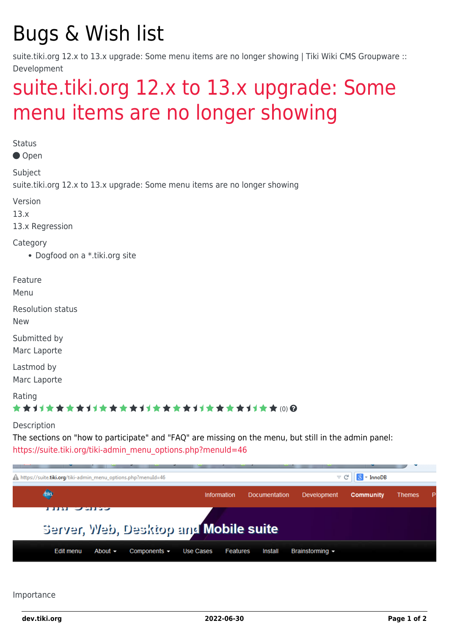## Bugs & Wish list

suite.tiki.org 12.x to 13.x upgrade: Some menu items are no longer showing | Tiki Wiki CMS Groupware :: Development

## [suite.tiki.org 12.x to 13.x upgrade: Some](https://dev.tiki.org/item5361-suite-tiki-org-12-x-to-13-x-upgrade-Some-menu-items-are-no-longer-showing) [menu items are no longer showing](https://dev.tiki.org/item5361-suite-tiki-org-12-x-to-13-x-upgrade-Some-menu-items-are-no-longer-showing)

**Status** Open Subject suite.tiki.org 12.x to 13.x upgrade: Some menu items are no longer showing Version 13.x 13.x Regression Category Dogfood on a \*.tiki.org site Feature Menu Resolution status New Submitted by Marc Laporte Lastmod by Marc Laporte Rating \*\*\*\*\*\*\*\*\*\*\*\*\*\*\*\*\*\*\*\*\*\*\*\*\*\*\*\*\*\* Description The sections on "how to participate" and "FAQ" are missing on the menu, but still in the admin panel: [https://suite.tiki.org/tiki-admin\\_menu\\_options.php?menuId=46](https://suite.tiki.org/tiki-admin_menu_options.php?menuId=46) A https://suite.tiki.org/tiki-admin menu options.php?menuId=46  $\triangledown$   $C$  $8 -$  InnoDB



Importance